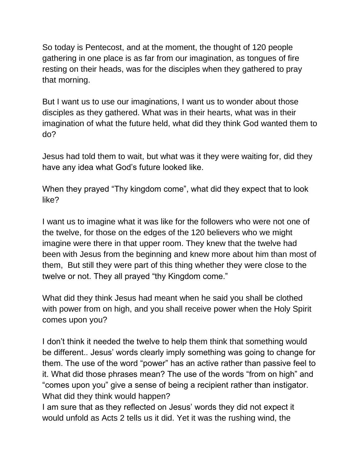So today is Pentecost, and at the moment, the thought of 120 people gathering in one place is as far from our imagination, as tongues of fire resting on their heads, was for the disciples when they gathered to pray that morning.

But I want us to use our imaginations, I want us to wonder about those disciples as they gathered. What was in their hearts, what was in their imagination of what the future held, what did they think God wanted them to do?

Jesus had told them to wait, but what was it they were waiting for, did they have any idea what God's future looked like.

When they prayed "Thy kingdom come", what did they expect that to look like?

I want us to imagine what it was like for the followers who were not one of the twelve, for those on the edges of the 120 believers who we might imagine were there in that upper room. They knew that the twelve had been with Jesus from the beginning and knew more about him than most of them, But still they were part of this thing whether they were close to the twelve or not. They all prayed "thy Kingdom come."

What did they think Jesus had meant when he said you shall be clothed with power from on high, and you shall receive power when the Holy Spirit comes upon you?

I don't think it needed the twelve to help them think that something would be different.. Jesus' words clearly imply something was going to change for them. The use of the word "power" has an active rather than passive feel to it. What did those phrases mean? The use of the words "from on high" and "comes upon you" give a sense of being a recipient rather than instigator. What did they think would happen?

I am sure that as they reflected on Jesus' words they did not expect it would unfold as Acts 2 tells us it did. Yet it was the rushing wind, the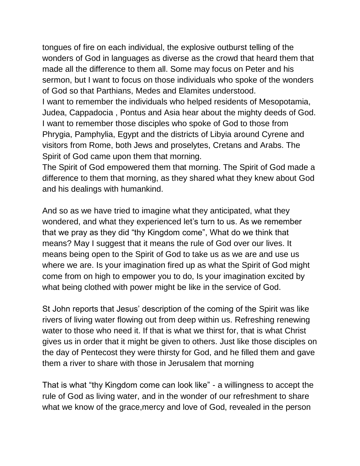tongues of fire on each individual, the explosive outburst telling of the wonders of God in languages as diverse as the crowd that heard them that made all the difference to them all. Some may focus on Peter and his sermon, but I want to focus on those individuals who spoke of the wonders of God so that Parthians, Medes and Elamites understood.

I want to remember the individuals who helped residents of Mesopotamia, Judea, Cappadocia , Pontus and Asia hear about the mighty deeds of God. I want to remember those disciples who spoke of God to those from Phrygia, Pamphylia, Egypt and the districts of Libyia around Cyrene and visitors from Rome, both Jews and proselytes, Cretans and Arabs. The Spirit of God came upon them that morning.

The Spirit of God empowered them that morning. The Spirit of God made a difference to them that morning, as they shared what they knew about God and his dealings with humankind.

And so as we have tried to imagine what they anticipated, what they wondered, and what they experienced let's turn to us. As we remember that we pray as they did "thy Kingdom come", What do we think that means? May I suggest that it means the rule of God over our lives. It means being open to the Spirit of God to take us as we are and use us where we are. Is your imagination fired up as what the Spirit of God might come from on high to empower you to do, Is your imagination excited by what being clothed with power might be like in the service of God.

St John reports that Jesus' description of the coming of the Spirit was like rivers of living water flowing out from deep within us. Refreshing renewing water to those who need it. If that is what we thirst for, that is what Christ gives us in order that it might be given to others. Just like those disciples on the day of Pentecost they were thirsty for God, and he filled them and gave them a river to share with those in Jerusalem that morning

That is what "thy Kingdom come can look like" - a willingness to accept the rule of God as living water, and in the wonder of our refreshment to share what we know of the grace,mercy and love of God, revealed in the person